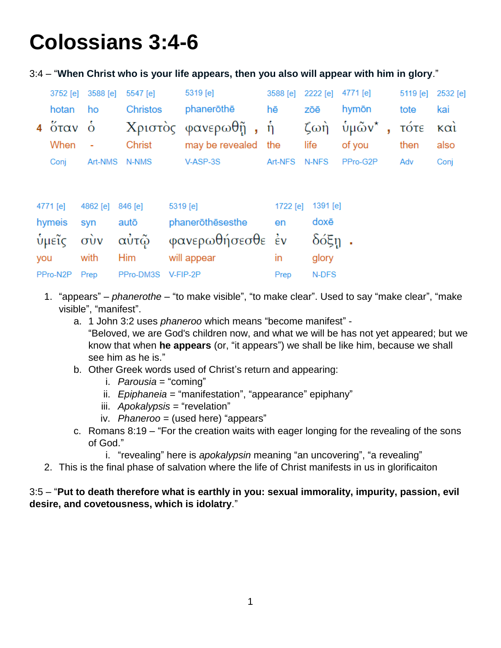## **Colossians 3:4-6**

| 3:4 – "When Christ who is your life appears, then you also will appear with him in glory." |  |  |  |  |
|--------------------------------------------------------------------------------------------|--|--|--|--|
|--------------------------------------------------------------------------------------------|--|--|--|--|

|          | 3752 [e] 3588 [e] 5547 [e] |                 | 5319 [e]                                                      |         | 3588 [e] 2222 [e] 4771 [e] |             | 5119 [e] 2532 [e] |      |
|----------|----------------------------|-----------------|---------------------------------------------------------------|---------|----------------------------|-------------|-------------------|------|
| hotan ho |                            | <b>Christos</b> | phanerōthē                                                    | hē      | zōē                        | hymōn       | tote              | kai  |
|          |                            |                 | 4 όταν ο Χριστος φανερωθῆ, ἡ ζωὴ ὑμῶν <sup>*</sup> , τότε καί |         |                            |             |                   |      |
| When -   |                            | Christ          | may be revealed the                                           |         |                            | life of you | then              | also |
| Conj     | Art-NMS N-NMS              |                 | V-ASP-3S                                                      | Art-NFS | N-NFS                      | PPro-G2P    | Adv               | Coni |

| 4771 [e]      | 4862 [e] 846 [e] |                    | 5319 [e]            |              | 1722 [e] 1391 [e] |  |
|---------------|------------------|--------------------|---------------------|--------------|-------------------|--|
| hymeis syn    |                  | autō               | phanerōthēsesthe en |              | doxē              |  |
|               |                  | ύμεῖς σὺν αὐτῷ     | φανερωθήσεσθε ἐν    |              | δόξη.             |  |
| you           | with Him         |                    | will appear         | $\mathsf{I}$ | glory             |  |
| PPro-N2P Prep |                  | PPro-DM3S V-FIP-2P |                     | Prep         | N-DFS             |  |

- 1. "appears" *phanerothe* "to make visible", "to make clear". Used to say "make clear", "make visible", "manifest".
	- a. 1 John 3:2 uses *phaneroo* which means "become manifest" -

"Beloved, we are God's children now, and what we will be has not yet appeared; but we know that when **he appears** (or, "it appears") we shall be like him, because we shall see him as he is."

- b. Other Greek words used of Christ's return and appearing:
	- i. *Parousia* = "coming"
	- ii. *Epiphaneia* = "manifestation", "appearance" epiphany"
	- iii. *Apokalypsis* = "revelation"
	- iv. *Phaneroo* = (used here) "appears"
- c. Romans 8:19 "For the creation waits with eager longing for the revealing of the sons of God."
	- i. "revealing" here is *apokalypsin* meaning "an uncovering", "a revealing"
- 2. This is the final phase of salvation where the life of Christ manifests in us in glorificaiton

## 3:5 – "**Put to death therefore what is earthly in you: sexual immorality, impurity, passion, evil desire, and covetousness, which is idolatry**."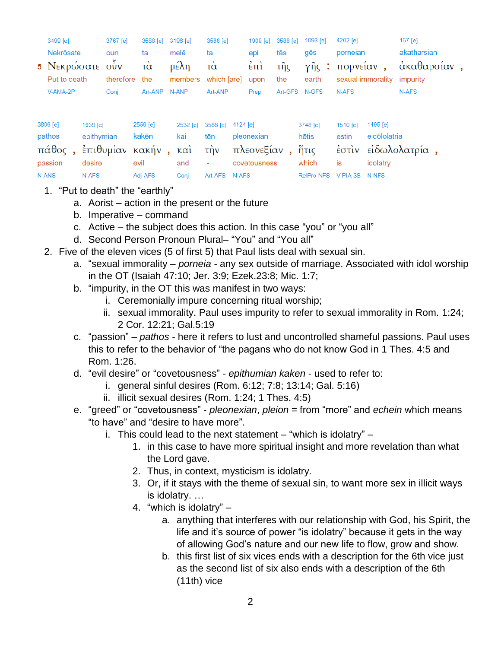| 3499 [e]<br>Nekrösate<br>5 Νεκρώσατε ούν<br>Put to death |                        | 3767 [e]<br>oun<br>therefore the | 3588 [e]<br>ta<br>$\vec{\alpha}$ | 3196 [e]<br>melē<br>$\mu \in \lambda$ η<br>members which [are] | 3588 [e]<br>ta<br>$\vec{\alpha}$ | 1909 [e]<br>epi<br>$\epsilon$ <sup><math>\pi</math></sup> $i$<br>upon | 3588 [e]<br>tēs<br>τῆς<br>the | 1093 [e]<br>gēs<br>earth                | $4202$ [e]<br>porneian<br>γῆς : πορνείαν, | sexual immorality          | $167$ [e]<br>akatharsian<br>άκαθαρσίαν,<br>impurity |  |
|----------------------------------------------------------|------------------------|----------------------------------|----------------------------------|----------------------------------------------------------------|----------------------------------|-----------------------------------------------------------------------|-------------------------------|-----------------------------------------|-------------------------------------------|----------------------------|-----------------------------------------------------|--|
| V-AMA-2P                                                 |                        | Conj                             | Art-ANP                          | N-ANP                                                          | Art-ANP                          | Prep                                                                  |                               | Art-GFS N-GFS                           | N-AFS                                     |                            | N-AFS                                               |  |
| 3806 [e]<br>pathos<br>πάθος                              | 1939 [e]<br>epithymian |                                  | 2556 [e]<br>kakēn                | 2532 [e]<br>kai<br>έπιθυμίαν κακήν, και την                    | 3588 [e] 4124 [e]<br>tēn         | pleonexian<br>πλεονεξίαν                                              |                               | 3748 [e]<br>hētis<br>$\frac{K}{11}$ τις | 1510 [e]<br>estin                         | 1495 $[e]$<br>eidōlolatria | έστιν είδωλολατρία,                                 |  |

idolatry

| passion desire |         | evil                       |  | and - covetousness which is |                           | idolatı |
|----------------|---------|----------------------------|--|-----------------------------|---------------------------|---------|
| N-ANS          | N-AFS 1 | Adi-AFS Coni Art-AFS N-AFS |  |                             | RelPro-NFS V-PIA-3S N-NFS |         |

1. "Put to death" the "earthly"

- a. Aorist action in the present or the future
- b. Imperative command

c. Active – the subject does this action. In this case "you" or "you all"

- d. Second Person Pronoun Plural– "You" and "You all"
- 2. Five of the eleven vices (5 of first 5) that Paul lists deal with sexual sin.
	- a. "sexual immorality *porneia* any sex outside of marriage. Associated with idol worship in the OT (Isaiah 47:10; Jer. 3:9; Ezek.23:8; Mic. 1:7;
	- b. "impurity, in the OT this was manifest in two ways:
		- i. Ceremonially impure concerning ritual worship;
		- ii. sexual immorality. Paul uses impurity to refer to sexual immorality in Rom. 1:24; 2 Cor. 12:21; Gal.5:19
	- c. "passion" *pathos* here it refers to lust and uncontrolled shameful passions. Paul uses this to refer to the behavior of "the pagans who do not know God in 1 Thes. 4:5 and Rom. 1:26.
	- d. "evil desire" or "covetousness" *epithumian kaken* used to refer to:
		- i. general sinful desires (Rom. 6:12; 7:8; 13:14; Gal. 5:16)
		- ii. illicit sexual desires (Rom. 1:24; 1 Thes. 4:5)
	- e. "greed" or "covetousness" *pleonexian*, *pleion* = from "more" and *echein* which means "to have" and "desire to have more".
		- i. This could lead to the next statement  $-$  "which is idolatry"  $-$ 
			- 1. in this case to have more spiritual insight and more revelation than what the Lord gave.
			- 2. Thus, in context, mysticism is idolatry.
			- 3. Or, if it stays with the theme of sexual sin, to want more sex in illicit ways is idolatry. …
			- 4. "which is idolatry"
				- a. anything that interferes with our relationship with God, his Spirit, the life and it's source of power "is idolatry" because it gets in the way of allowing God's nature and our new life to flow, grow and show.
				- b. this first list of six vices ends with a description for the 6th vice just as the second list of six also ends with a description of the 6th (11th) vice